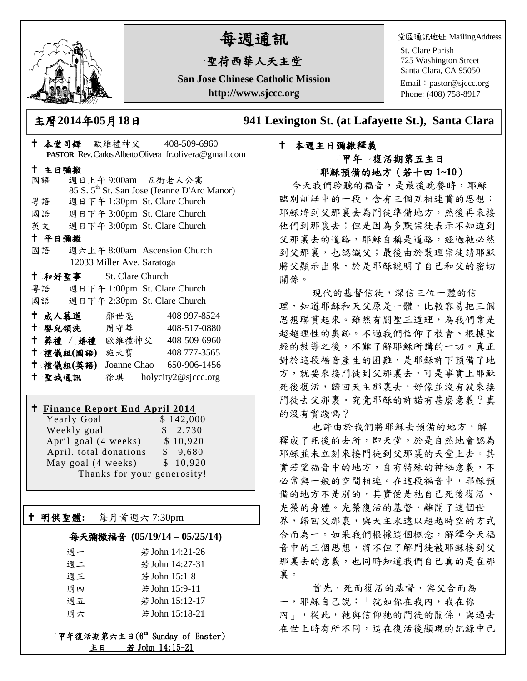

# 每週通訊

# 聖荷西華人天主堂

**San Jose Chinese Catholic Mission http://www.sjccc.org**

堂區通訊地址 MailingAddress

St. Clare Parish 725 Washington Street Santa Clara, CA 95050

Email: [pastor@sjccc.org](mailto:pastor@sjccc.org) Phone: (408) 758-8917

主曆**2014**年**05**月**18**日 **941 Lexington St. (at Lafayette St.), Santa Clara** 

# 本週主日彌撒釋義 甲年 復活期第五主日 耶穌預備的地方(若十四 **1~10**)

今天我們聆聽的福音,是最後晚餐時,耶穌 臨別訓話中的一段,含有三個互相連貫的思想: 耶穌將到父那裏去為門徒準備地方,然後再來接 他們到那裏去;但是因為多默宗徒表示不知道到 父那裏去的道路,耶穌自稱是道路,經過祂必然 到父那裏,也認識父;最後由於裴理宗徒請耶穌 將父顯示出來,於是耶穌說明了自己和父的密切 關係。

現代的基督信徒,深信三位一體的信 理,知道耶穌和天父原是一體,比較容易把三個 思想聯貫起來。雖然有關聖三道理,為我們常是 超越理性的奧跡。不過我們信仰了教會、根據聖 經的教導之後,不難了解耶穌所講的一切。真正 對於這段福音產生的困難,是耶穌許下預備了地 方,就要來接門徒到父那裏去,可是事實上耶穌 死後復活,歸回天主那裏去,好像並沒有就來接 門徒去父那裏。究竟耶穌的許諾有甚麼意義?真 的沒有實踐嗎?

 也許由於我們將耶穌去預備的地方,解 釋成了死後的去所,即天堂。於是自然地會認為 耶穌並未立刻來接門徒到父那裏的天堂上去。其 實若望福音中的地方,自有特殊的神秘意義,不 必常與一般的空間相連。在這段福音中,耶穌預 備的地方不是別的,其實便是祂自己死後復活、 光榮的身體。光榮復活的基督,離開了這個世 界,歸回父那裏,與天主永遠以超越時空的方式 合而為一。如果我們根據這個概念,解釋今天福 音中的三個思想,將不但了解門徒被耶穌接到父 那裏去的意義,也同時知道我們自己真的是在那 裏。

首先,死而復活的基督,與父合而為 一,耶穌自己說:「就如你在我內,我在你 內」,從此,祂與信仰祂的門徒的關係,與過去 在世上時有所不同,這在復活後顯現的記錄中已

|                                 |                              | PASTOR Rev. Carlos Alberto Olivera fr.olivera@gmail.com |  |
|---------------------------------|------------------------------|---------------------------------------------------------|--|
| 十 主日彌撒                          |                              |                                                         |  |
| 國語                              | 週日上午9:00am 五街老人公寓            |                                                         |  |
|                                 |                              | 85 S. 5 <sup>th</sup> St. San Jose (Jeanne D'Arc Manor) |  |
| 粤語                              | 週日下午 1:30pm St. Clare Church |                                                         |  |
| 國語                              | 週日下午 3:00pm St. Clare Church |                                                         |  |
| 英文 週日下午 3:00pm St. Clare Church |                              |                                                         |  |
| 十 平日彌撒                          |                              |                                                         |  |
| 國語                              |                              | 週六上午 8:00am Ascension Church                            |  |
| 12033 Miller Ave. Saratoga      |                              |                                                         |  |
| + 和好聖事 St. Clare Church         |                              |                                                         |  |
| 粤語 週日下午 1:00pm St. Clare Church |                              |                                                         |  |
| 國語 週日下午 2:30pm St. Clare Church |                              |                                                         |  |
| † 成人慕道   鄒世亮                    |                              | 408 997-8524                                            |  |
| ← 嬰兒領洗──周守華──                   |                              | 408-517-0880                                            |  |
| † 葬禮 / 婚禮 歐維禮神父 408-509-6960    |                              |                                                         |  |
| 十禮儀組(國語) 施天寶                    |                              | 408 777-3565                                            |  |
| 十 禮儀組(英語)                       |                              | Joanne Chao 650-906-1456                                |  |
| 十 聖城通訊                          |                              | 徐琪 holycity2@sjccc.org                                  |  |

十 本堂司鐸 歐維禮神父 408-509-6960

# **Finance Report End April 2014**

Yearly Goal \$142,000 Weekly goal \$ 2,730 April goal  $(4 \text{ weeks}) \qquad $10,920$  April. total donations \$ 9,680 May goal (4 weeks) \$ 10,920 Thanks for your generosity!

明供聖體**:** 每月首週六 7:30pm

Ξ

# 每天彌撒福音 **(05/19/14 – 05/25/14)**

| 调一 | 若 John 14:21-26 |
|----|-----------------|
| 週二 | 若 John 14:27-31 |
| 週三 | 若 John 15:1-8   |
| 调四 | 若 John 15:9-11  |
| 调五 | 若 John 15:12-17 |
| 调六 | 若 John 15:18-21 |

甲年復活期第六主日(6th Sunday of Easter) 主日 若 John 14:15-21